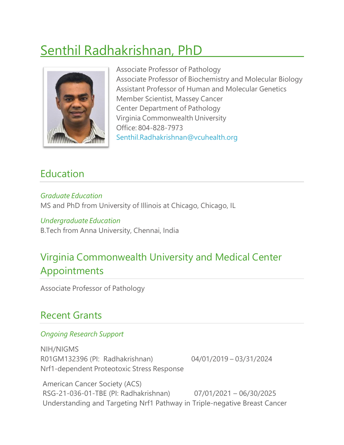# Senthil Radhakrishnan, PhD



Associate Professor of Pathology Associate Professor of Biochemistry and Molecular Biology Assistant Professor of Human and Molecular Genetics Member Scientist, Massey Cancer Center Department of Pathology Virginia Commonwealth University Office: 804-828-7973 [Senthil.Radhakrishnan@vcuhealth.org](mailto:Senthil.Radhakrishnan@vcuhealth.org)

### Education

*Graduate Education* MS and PhD from University of Illinois at Chicago, Chicago, IL

### *Undergraduate Education*

B.Tech from Anna University, Chennai, India

## Virginia Commonwealth University and Medical Center Appointments

Associate Professor of Pathology

### Recent Grants

#### *Ongoing Research Support*

NIH/NIGMS R01GM132396 (PI: Radhakrishnan) 04/01/2019 – 03/31/2024 Nrf1-dependent Proteotoxic Stress Response

American Cancer Society (ACS) RSG-21-036-01-TBE (PI: Radhakrishnan) 07/01/2021 – 06/30/2025 Understanding and Targeting Nrf1 Pathway in Triple-negative Breast Cancer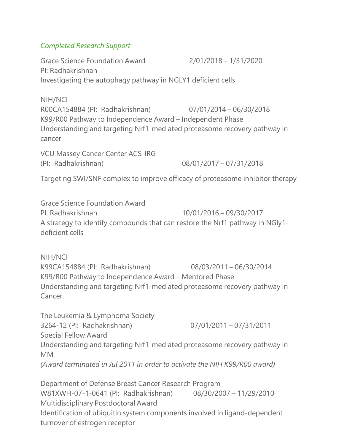#### *Completed Research Support*

Grace Science Foundation Award 2/01/2018 – 1/31/2020 PI: Radhakrishnan Investigating the autophagy pathway in NGLY1 deficient cells

NIH/NCI R00CA154884 (PI: Radhakrishnan) 07/01/2014 – 06/30/2018 K99/R00 Pathway to Independence Award – Independent Phase Understanding and targeting Nrf1-mediated proteasome recovery pathway in cancer

VCU Massey Cancer Center ACS-IRG (PI: Radhakrishnan) 08/01/2017 – 07/31/2018

Targeting SWI/SNF complex to improve efficacy of proteasome inhibitor therapy

Grace Science Foundation Award PI: Radhakrishnan 10/01/2016 – 09/30/2017 A strategy to identify compounds that can restore the Nrf1 pathway in NGly1 deficient cells

NIH/NCI K99CA154884 (PI: Radhakrishnan) 08/03/2011 – 06/30/2014 K99/R00 Pathway to Independence Award – Mentored Phase Understanding and targeting Nrf1-mediated proteasome recovery pathway in Cancer.

The Leukemia & Lymphoma Society 3264-12 (PI: Radhakrishnan) 07/01/2011 – 07/31/2011 Special Fellow Award Understanding and targeting Nrf1-mediated proteasome recovery pathway in MM *(Award terminated in Jul 2011 in order to activate the NIH K99/R00 award)*

Department of Defense Breast Cancer Research Program W81XWH-07-1-0641 (PI: Radhakrishnan) 08/30/2007 – 11/29/2010 Multidisciplinary Postdoctoral Award Identification of ubiquitin system components involved in ligand-dependent turnover of estrogen receptor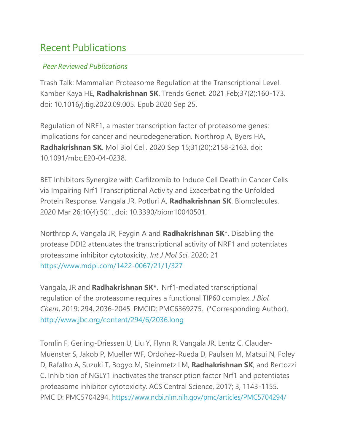### Recent Publications

#### *Peer Reviewed Publications*

Trash Talk: Mammalian Proteasome Regulation at the Transcriptional Level. Kamber Kaya HE, **Radhakrishnan SK**. Trends Genet. 2021 Feb;37(2):160-173. doi: 10.1016/j.tig.2020.09.005. Epub 2020 Sep 25.

Regulation of NRF1, a master transcription factor of proteasome genes: implications for cancer and neurodegeneration. Northrop A, Byers HA, **Radhakrishnan SK**. Mol Biol Cell. 2020 Sep 15;31(20):2158-2163. doi: 10.1091/mbc.E20-04-0238.

BET Inhibitors Synergize with Carfilzomib to Induce Cell Death in Cancer Cells via Impairing Nrf1 Transcriptional Activity and Exacerbating the Unfolded Protein Response. Vangala JR, Potluri A, **Radhakrishnan SK**. Biomolecules. 2020 Mar 26;10(4):501. doi: 10.3390/biom10040501.

Northrop A, Vangala JR, Feygin A and **Radhakrishnan SK**\*. Disabling the protease DDI2 attenuates the transcriptional activity of NRF1 and potentiates proteasome inhibitor cytotoxicity. *Int J Mol Sci*, 2020; 21 <https://www.mdpi.com/1422-0067/21/1/327>

Vangala, JR and **Radhakrishnan SK\***. Nrf1-mediated transcriptional regulation of the proteasome requires a functional TIP60 complex. *J Biol Chem*, 2019; 294, 2036-2045. PMCID: PMC6369275. (\*Corresponding Author). <http://www.jbc.org/content/294/6/2036.long>

Tomlin F, Gerling-Driessen U, Liu Y, Flynn R, Vangala JR, Lentz C, Clauder-Muenster S, Jakob P, Mueller WF, Ordoñez-Rueda D, Paulsen M, Matsui N, Foley D, Rafalko A, Suzuki T, Bogyo M, Steinmetz LM, **Radhakrishnan SK**, and Bertozzi C. Inhibition of NGLY1 inactivates the transcription factor Nrf1 and potentiates proteasome inhibitor cytotoxicity. ACS Central Science, 2017; 3, 1143-1155. PMCID: PMC5704294. <https://www.ncbi.nlm.nih.gov/pmc/articles/PMC5704294/>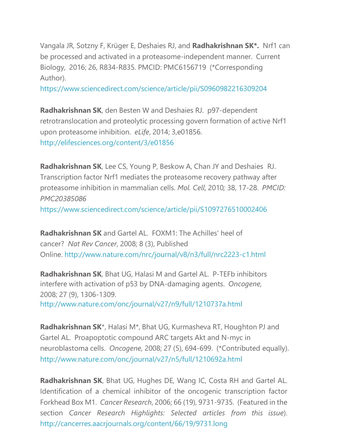Vangala JR, Sotzny F, Krüger E, Deshaies RJ, and **Radhakrishnan SK\*.** Nrf1 can be processed and activated in a proteasome-independent manner. Current Biology, 2016; 26, R834-R835. PMCID: PMC6156719 (\*Corresponding Author).

https:/[/www.sciencedirect.com/science/article/pii/S0960982216309204](http://www.sciencedirect.com/science/article/pii/S0960982216309204)

**Radhakrishnan SK**, den Besten W and Deshaies RJ. p97-dependent retrotranslocation and proteolytic processing govern formation of active Nrf1 upon proteasome inhibition. *eLife*, 2014; 3,e01856. <http://elifesciences.org/content/3/e01856>

**Radhakrishnan SK**, Lee CS, Young P, Beskow A, Chan JY and Deshaies RJ. Transcription factor Nrf1 mediates the proteasome recovery pathway after proteasome inhibition in mammalian cells. *Mol. Cell*, 2010*;* 38, 17-28. *PMCID: PMC20385086* https:/[/www.sciencedirect.com/science/article/pii/S1097276510002406](http://www.sciencedirect.com/science/article/pii/S1097276510002406)

**Radhakrishnan SK** and Gartel AL. FOXM1: The Achilles' heel of cancer? *Nat Rev Cancer*, 2008; 8 (3), Published Online. <http://www.nature.com/nrc/journal/v8/n3/full/nrc2223-c1.html>

**Radhakrishnan SK**, Bhat UG, Halasi M and Gartel AL. P-TEFb inhibitors interfere with activation of p53 by DNA-damaging agents. *Oncogene,* 2008; 27 (9), 1306-1309. <http://www.nature.com/onc/journal/v27/n9/full/1210737a.html>

**Radhakrishnan SK**\*, Halasi M\*, Bhat UG, Kurmasheva RT, Houghton PJ and Gartel AL. Proapoptotic compound ARC targets Akt and N-myc in neuroblastoma cells. *Oncogene,* 2008; 27 (5), 694-699. (\*Contributed equally). <http://www.nature.com/onc/journal/v27/n5/full/1210692a.html>

**Radhakrishnan SK**, Bhat UG, Hughes DE, Wang IC, Costa RH and Gartel AL. Identification of a chemical inhibitor of the oncogenic transcription factor Forkhead Box M1. *Cancer Research*, 2006; 66 (19), 9731-9735. (Featured in the section *Cancer Research Highlights: Selected articles from this issue*). <http://cancerres.aacrjournals.org/content/66/19/9731.long>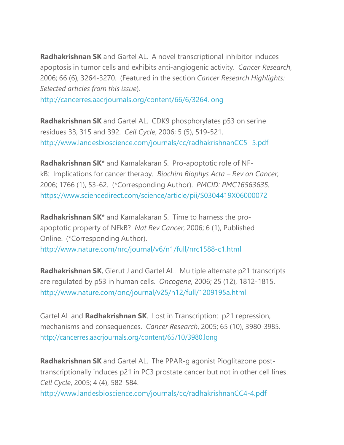**Radhakrishnan SK** and Gartel AL. A novel transcriptional inhibitor induces apoptosis in tumor cells and exhibits anti-angiogenic activity. *Cancer Research*, 2006; 66 (6), 3264-3270. (Featured in the section *Cancer Research Highlights: Selected articles from this issue*).

<http://cancerres.aacrjournals.org/content/66/6/3264.long>

**Radhakrishnan SK** and Gartel AL. CDK9 phosphorylates p53 on serine residues 33, 315 and 392. *Cell Cycle*, 2006; 5 (5), 519-521. [http://www.landesbioscience.com/journals/cc/radhakrishnanCC5-](http://www.landesbioscience.com/journals/cc/radhakrishnanCC5-5.pdf) [5.pdf](http://www.landesbioscience.com/journals/cc/radhakrishnanCC5-5.pdf)

**Radhakrishnan SK**\* and Kamalakaran S. Pro-apoptotic role of NFkB: Implications for cancer therapy. *Biochim Biophys Acta – Rev on Cancer*, 2006; 1766 (1), 53-62. (\*Corresponding Author). *PMCID: PMC16563635.* https:/[/www.sciencedirect.com/science/article/pii/S0304419X06000072](http://www.sciencedirect.com/science/article/pii/S0304419X06000072)

**Radhakrishnan SK**\* and Kamalakaran S. Time to harness the proapoptotic property of NFkB? *Nat Rev Cancer*, 2006; 6 (1), Published Online. (\*Corresponding Author).

<http://www.nature.com/nrc/journal/v6/n1/full/nrc1588-c1.html>

**Radhakrishnan SK**, Gierut J and Gartel AL. Multiple alternate p21 transcripts are regulated by p53 in human cells. *Oncogene*, 2006; 25 (12), 1812-1815. <http://www.nature.com/onc/journal/v25/n12/full/1209195a.html>

Gartel AL and **Radhakrishnan SK**. Lost in Transcription: p21 repression, mechanisms and consequences. *Cancer Research*, 2005; 65 (10), 3980-3985. <http://cancerres.aacrjournals.org/content/65/10/3980.long>

**Radhakrishnan SK** and Gartel AL. The PPAR-g agonist Pioglitazone posttranscriptionally induces p21 in PC3 prostate cancer but not in other cell lines. *Cell Cycle*, 2005; 4 (4), 582-584. <http://www.landesbioscience.com/journals/cc/radhakrishnanCC4-4.pdf>